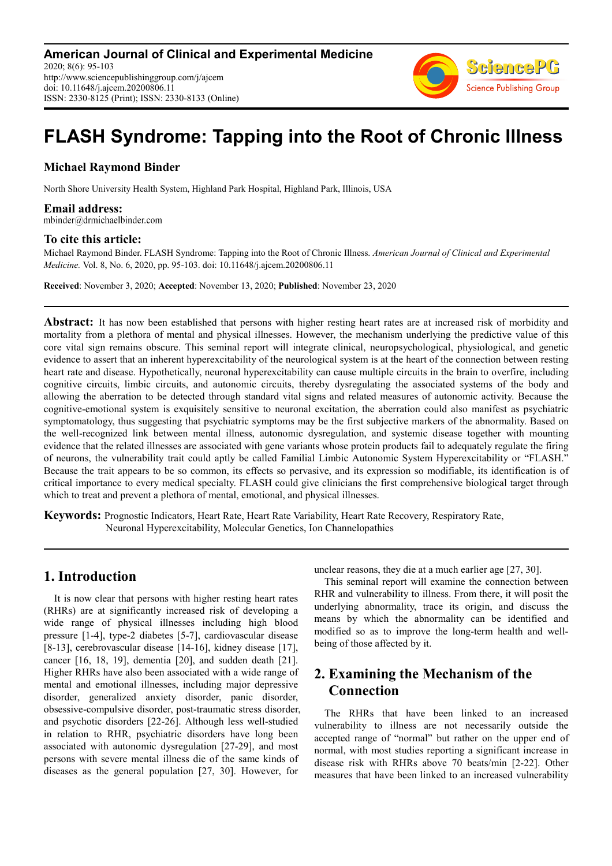

# **FLASH Syndrome: Tapping into the Root of Chronic Illness**

### **Michael Raymond Binder**

North Shore University Health System, Highland Park Hospital, Highland Park, Illinois, USA

**Email address:**<br>mbinder@drmichaelbinder.com

#### **To cite this article:**

Michael Raymond Binder. FLASH Syndrome: Tapping into the Root of Chronic Illness. *American Journal of Clinical and Experimental Medicine.* Vol. 8, No. 6, 2020, pp. 95-103. doi: 10.11648/j.ajcem.20200806.11

**Received**: November 3, 2020; **Accepted**: November 13, 2020; **Published**: November 23, 2020

**Abstract:** It has now been established that persons with higher resting heart rates are at increased risk of morbidity and mortality from a plethora of mental and physical illnesses. However, the mechanism underlying the predictive value of this core vital sign remains obscure. This seminal report will integrate clinical, neuropsychological, physiological, and genetic evidence to assert that an inherent hyperexcitability of the neurological system is at the heart of the connection between resting heart rate and disease. Hypothetically, neuronal hyperexcitability can cause multiple circuits in the brain to overfire, including cognitive circuits, limbic circuits, and autonomic circuits, thereby dysregulating the associated systems of the body and allowing the aberration to be detected through standard vital signs and related measures of autonomic activity. Because the cognitive-emotional system is exquisitely sensitive to neuronal excitation, the aberration could also manifest as psychiatric symptomatology, thus suggesting that psychiatric symptoms may be the first subjective markers of the abnormality. Based on the well-recognized link between mental illness, autonomic dysregulation, and systemic disease together with mounting evidence that the related illnesses are associated with gene variants whose protein products fail to adequately regulate the firing of neurons, the vulnerability trait could aptly be called Familial Limbic Autonomic System Hyperexcitability or "FLASH." Because the trait appears to be so common, its effects so pervasive, and its expression so modifiable, its identification is of critical importance to every medical specialty. FLASH could give clinicians the first comprehensive biological target through which to treat and prevent a plethora of mental, emotional, and physical illnesses.

**Keywords:** Prognostic Indicators, Heart Rate, Heart Rate Variability, Heart Rate Recovery, Respiratory Rate, Neuronal Hyperexcitability, Molecular Genetics, Ion Channelopathies

# **1. Introduction**

It is now clear that persons with higher resting heart rates (RHRs) are at significantly increased risk of developing a wide range of physical illnesses including high blood pressure [1-4], type-2 diabetes [5-7], cardiovascular disease [8-13], cerebrovascular disease [14-16], kidney disease [17], cancer [16, 18, 19], dementia [20], and sudden death [21]. Higher RHRs have also been associated with a wide range of mental and emotional illnesses, including major depressive disorder, generalized anxiety disorder, panic disorder, obsessive-compulsive disorder, post-traumatic stress disorder, and psychotic disorders [22-26]. Although less well-studied in relation to RHR, psychiatric disorders have long been associated with autonomic dysregulation [27-29], and most persons with severe mental illness die of the same kinds of diseases as the general population [27, 30]. However, for

unclear reasons, they die at a much earlier age [27, 30].

This seminal report will examine the connection between RHR and vulnerability to illness. From there, it will posit the underlying abnormality, trace its origin, and discuss the means by which the abnormality can be identified and modified so as to improve the long-term health and wellbeing of those affected by it.

# **2. Examining the Mechanism of the Connection**

The RHRs that have been linked to an increased vulnerability to illness are not necessarily outside the accepted range of "normal" but rather on the upper end of normal, with most studies reporting a significant increase in disease risk with RHRs above 70 beats/min [2-22]. Other measures that have been linked to an increased vulnerability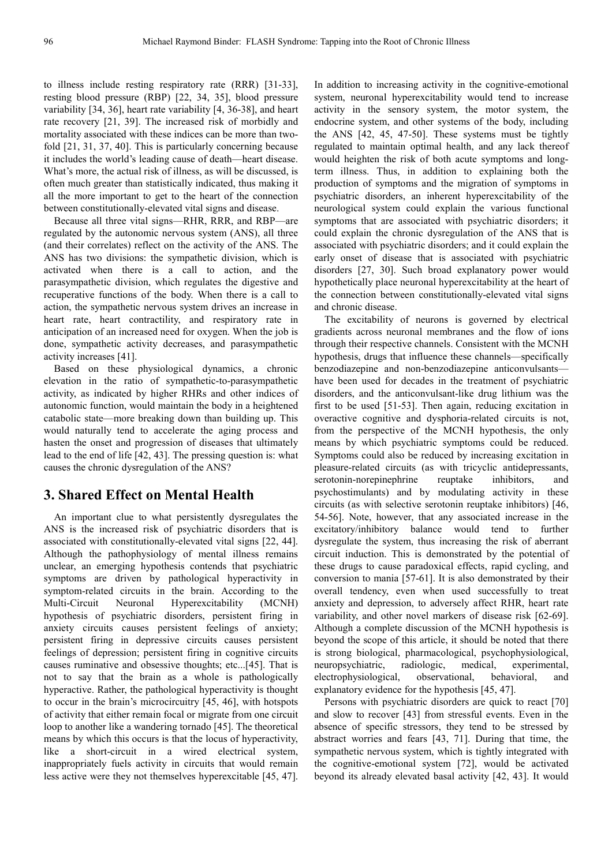to illness include resting respiratory rate (RRR) [31-33], resting blood pressure (RBP) [22, 34, 35], blood pressure variability [34, 36], heart rate variability [4, 36-38], and heart rate recovery [21, 39]. The increased risk of morbidly and mortality associated with these indices can be more than twofold [21, 31, 37, 40]. This is particularly concerning because it includes the world's leading cause of death—heart disease. What's more, the actual risk of illness, as will be discussed, is often much greater than statistically indicated, thus making it all the more important to get to the heart of the connection between constitutionally-elevated vital signs and disease.

Because all three vital signs—RHR, RRR, and RBP—are regulated by the autonomic nervous system (ANS), all three (and their correlates) reflect on the activity of the ANS. The ANS has two divisions: the sympathetic division, which is activated when there is a call to action, and the parasympathetic division, which regulates the digestive and recuperative functions of the body. When there is a call to action, the sympathetic nervous system drives an increase in heart rate, heart contractility, and respiratory rate in anticipation of an increased need for oxygen. When the job is done, sympathetic activity decreases, and parasympathetic activity increases [41].

Based on these physiological dynamics, a chronic elevation in the ratio of sympathetic-to-parasympathetic activity, as indicated by higher RHRs and other indices of autonomic function, would maintain the body in a heightened catabolic state—more breaking down than building up. This would naturally tend to accelerate the aging process and hasten the onset and progression of diseases that ultimately lead to the end of life [42, 43]. The pressing question is: what causes the chronic dysregulation of the ANS?

### **3. Shared Effect on Mental Health**

An important clue to what persistently dysregulates the ANS is the increased risk of psychiatric disorders that is associated with constitutionally-elevated vital signs [22, 44]. Although the pathophysiology of mental illness remains unclear, an emerging hypothesis contends that psychiatric symptoms are driven by pathological hyperactivity in symptom-related circuits in the brain. According to the Multi-Circuit Neuronal Hyperexcitability (MCNH) hypothesis of psychiatric disorders, persistent firing in anxiety circuits causes persistent feelings of anxiety; persistent firing in depressive circuits causes persistent feelings of depression; persistent firing in cognitive circuits causes ruminative and obsessive thoughts; etc...[45]. That is not to say that the brain as a whole is pathologically hyperactive. Rather, the pathological hyperactivity is thought to occur in the brain's microcircuitry [45, 46], with hotspots of activity that either remain focal or migrate from one circuit loop to another like a wandering tornado [45]. The theoretical means by which this occurs is that the locus of hyperactivity, like a short-circuit in a wired electrical system, inappropriately fuels activity in circuits that would remain less active were they not themselves hyperexcitable [45, 47].

In addition to increasing activity in the cognitive-emotional system, neuronal hyperexcitability would tend to increase activity in the sensory system, the motor system, the endocrine system, and other systems of the body, including the ANS [42, 45, 47-50]. These systems must be tightly regulated to maintain optimal health, and any lack thereof would heighten the risk of both acute symptoms and longterm illness. Thus, in addition to explaining both the production of symptoms and the migration of symptoms in psychiatric disorders, an inherent hyperexcitability of the neurological system could explain the various functional symptoms that are associated with psychiatric disorders; it could explain the chronic dysregulation of the ANS that is associated with psychiatric disorders; and it could explain the early onset of disease that is associated with psychiatric disorders [27, 30]. Such broad explanatory power would hypothetically place neuronal hyperexcitability at the heart of the connection between constitutionally-elevated vital signs and chronic disease.

The excitability of neurons is governed by electrical gradients across neuronal membranes and the flow of ions through their respective channels. Consistent with the MCNH hypothesis, drugs that influence these channels—specifically benzodiazepine and non-benzodiazepine anticonvulsants have been used for decades in the treatment of psychiatric disorders, and the anticonvulsant-like drug lithium was the first to be used [51-53]. Then again, reducing excitation in overactive cognitive and dysphoria-related circuits is not, from the perspective of the MCNH hypothesis, the only means by which psychiatric symptoms could be reduced. Symptoms could also be reduced by increasing excitation in pleasure-related circuits (as with tricyclic antidepressants, serotonin-norepinephrine reuptake inhibitors, and psychostimulants) and by modulating activity in these circuits (as with selective serotonin reuptake inhibitors) [46, 54-56]. Note, however, that any associated increase in the excitatory/inhibitory balance would tend to further dysregulate the system, thus increasing the risk of aberrant circuit induction. This is demonstrated by the potential of these drugs to cause paradoxical effects, rapid cycling, and conversion to mania [57-61]. It is also demonstrated by their overall tendency, even when used successfully to treat anxiety and depression, to adversely affect RHR, heart rate variability, and other novel markers of disease risk [62-69]. Although a complete discussion of the MCNH hypothesis is beyond the scope of this article, it should be noted that there is strong biological, pharmacological, psychophysiological, neuropsychiatric, radiologic, medical, experimental, electrophysiological, observational, behavioral, and explanatory evidence for the hypothesis [45, 47].

Persons with psychiatric disorders are quick to react [70] and slow to recover [43] from stressful events. Even in the absence of specific stressors, they tend to be stressed by abstract worries and fears [43, 71]. During that time, the sympathetic nervous system, which is tightly integrated with the cognitive-emotional system [72], would be activated beyond its already elevated basal activity [42, 43]. It would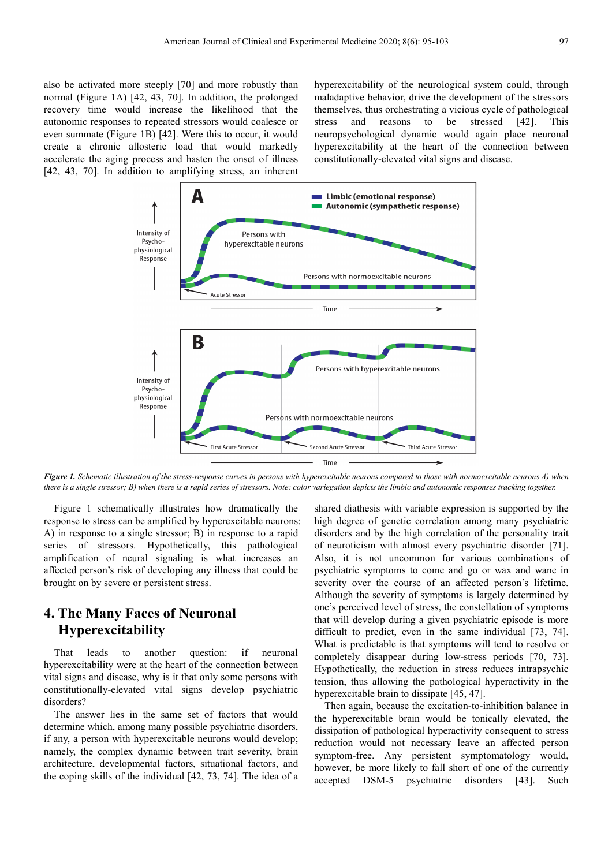also be activated more steeply [70] and more robustly than normal (Figure 1A) [42, 43, 70]. In addition, the prolonged recovery time would increase the likelihood that the autonomic responses to repeated stressors would coalesce or even summate (Figure 1B) [42]. Were this to occur, it would create a chronic allosteric load that would markedly accelerate the aging process and hasten the onset of illness [42, 43, 70]. In addition to amplifying stress, an inherent hyperexcitability of the neurological system could, through maladaptive behavior, drive the development of the stressors themselves, thus orchestrating a vicious cycle of pathological stress and reasons to be stressed [42]. This neuropsychological dynamic would again place neuronal hyperexcitability at the heart of the connection between constitutionally-elevated vital signs and disease.



*Figure 1. Schematic illustration of the stress-response curves in persons with hyperexcitable neurons compared to those with normoexcitable neurons A) when there is a single stressor; B) when there is a rapid series of stressors. Note: color variegation depicts the limbic and autonomic responses tracking together.* 

Figure 1 schematically illustrates how dramatically the response to stress can be amplified by hyperexcitable neurons: A) in response to a single stressor; B) in response to a rapid series of stressors. Hypothetically, this pathological amplification of neural signaling is what increases an affected person's risk of developing any illness that could be brought on by severe or persistent stress.

# **4. The Many Faces of Neuronal Hyperexcitability**

That leads to another question: if neuronal hyperexcitability were at the heart of the connection between vital signs and disease, why is it that only some persons with constitutionally-elevated vital signs develop psychiatric disorders?

The answer lies in the same set of factors that would determine which, among many possible psychiatric disorders, if any, a person with hyperexcitable neurons would develop; namely, the complex dynamic between trait severity, brain architecture, developmental factors, situational factors, and the coping skills of the individual [42, 73, 74]. The idea of a

shared diathesis with variable expression is supported by the high degree of genetic correlation among many psychiatric disorders and by the high correlation of the personality trait of neuroticism with almost every psychiatric disorder [71]. Also, it is not uncommon for various combinations of psychiatric symptoms to come and go or wax and wane in severity over the course of an affected person's lifetime. Although the severity of symptoms is largely determined by one's perceived level of stress, the constellation of symptoms that will develop during a given psychiatric episode is more difficult to predict, even in the same individual [73, 74]. What is predictable is that symptoms will tend to resolve or completely disappear during low-stress periods [70, 73]. Hypothetically, the reduction in stress reduces intrapsychic tension, thus allowing the pathological hyperactivity in the hyperexcitable brain to dissipate [45, 47].

Then again, because the excitation-to-inhibition balance in the hyperexcitable brain would be tonically elevated, the dissipation of pathological hyperactivity consequent to stress reduction would not necessary leave an affected person symptom-free. Any persistent symptomatology would, however, be more likely to fall short of one of the currently accepted DSM-5 psychiatric disorders [43]. Such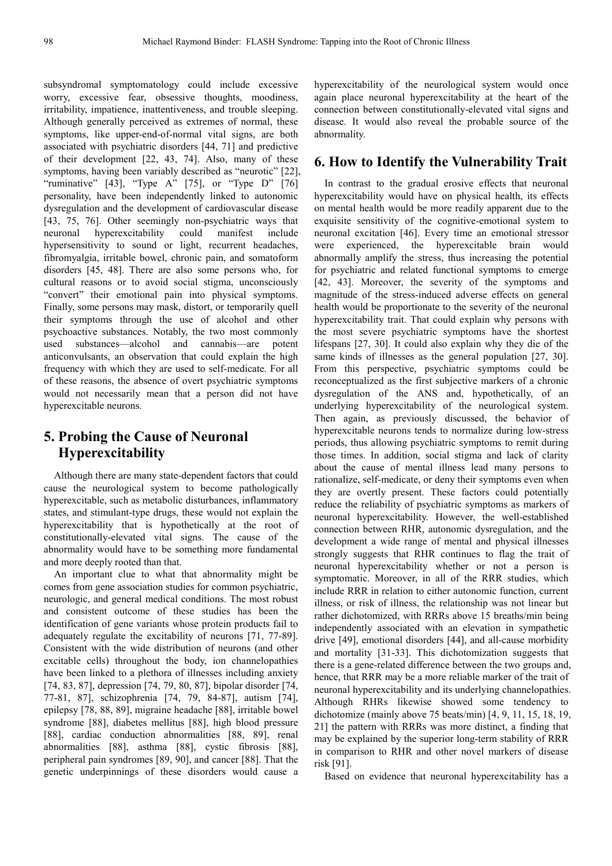subsyndromal symptomatology could include excessive worry, excessive fear, obsessive thoughts, moodiness, irritability, impatience, inattentiveness, and trouble sleeping. Although generally perceived as extremes of normal, these symptoms, like upper-end-of-normal vital signs, are both associated with psychiatric disorders [44, 71] and predictive of their development [22, 43, 74]. Also, many of these symptoms, having been variably described as "neurotic" [22], "ruminative"  $[43]$ , "Type A"  $[75]$ , or "Type D"  $[76]$ personality, have been independently linked to autonomic dysregulation and the development of cardiovascular disease [43, 75, 76]. Other seemingly non-psychiatric ways that neuronal hyperexcitability could manifest include hypersensitivity to sound or light, recurrent headaches, fibromyalgia, irritable bowel, chronic pain, and somatoform disorders [45, 48]. There are also some persons who, for cultural reasons or to avoid social stigma, unconsciously "convert" their emotional pain into physical symptoms. Finally, some persons may mask, distort, or temporarily quell their symptoms through the use of alcohol and other psychoactive substances. Notably, the two most commonly used substances—alcohol and cannabis—are potent anticonvulsants, an observation that could explain the high frequency with which they are used to self-medicate. For all of these reasons, the absence of overt psychiatric symptoms would not necessarily mean that a person did not have hyperexcitable neurons.

# **5. Probing the Cause of Neuronal Hyperexcitability**

Although there are many state-dependent factors that could cause the neurological system to become pathologically hyperexcitable, such as metabolic disturbances, inflammatory states, and stimulant-type drugs, these would not explain the hyperexcitability that is hypothetically at the root of constitutionally-elevated vital signs. The cause of the abnormality would have to be something more fundamental and more deeply rooted than that.

An important clue to what that abnormality might be comes from gene association studies for common psychiatric, neurologic, and general medical conditions. The most robust and consistent outcome of these studies has been the identification of gene variants whose protein products fail to adequately regulate the excitability of neurons [71, 77-89]. Consistent with the wide distribution of neurons (and other excitable cells) throughout the body, ion channelopathies have been linked to a plethora of illnesses including anxiety [74, 83, 87], depression [74, 79, 80, 87], bipolar disorder [74, 77-81, 87], schizophrenia [74, 79, 84-87], autism [74], epilepsy [78, 88, 89], migraine headache [88], irritable bowel syndrome [88], diabetes mellitus [88], high blood pressure [88], cardiac conduction abnormalities [88, 89], renal abnormalities [88], asthma [88], cystic fibrosis [88], peripheral pain syndromes [89, 90], and cancer [88]. That the genetic underpinnings of these disorders would cause a hyperexcitability of the neurological system would once again place neuronal hyperexcitability at the heart of the connection between constitutionally-elevated vital signs and disease. It would also reveal the probable source of the abnormality.

#### **6. How to Identify the Vulnerability Trait**

In contrast to the gradual erosive effects that neuronal hyperexcitability would have on physical health, its effects on mental health would be more readily apparent due to the exquisite sensitivity of the cognitive-emotional system to neuronal excitation [46]. Every time an emotional stressor were experienced, the hyperexcitable brain would abnormally amplify the stress, thus increasing the potential for psychiatric and related functional symptoms to emerge [42, 43]. Moreover, the severity of the symptoms and magnitude of the stress-induced adverse effects on general health would be proportionate to the severity of the neuronal hyperexcitability trait. That could explain why persons with the most severe psychiatric symptoms have the shortest lifespans [27, 30]. It could also explain why they die of the same kinds of illnesses as the general population [27, 30]. From this perspective, psychiatric symptoms could be reconceptualized as the first subjective markers of a chronic dysregulation of the ANS and, hypothetically, of an underlying hyperexcitability of the neurological system. Then again, as previously discussed, the behavior of hyperexcitable neurons tends to normalize during low-stress periods, thus allowing psychiatric symptoms to remit during those times. In addition, social stigma and lack of clarity about the cause of mental illness lead many persons to rationalize, self-medicate, or deny their symptoms even when they are overtly present. These factors could potentially reduce the reliability of psychiatric symptoms as markers of neuronal hyperexcitability. However, the well-established connection between RHR, autonomic dysregulation, and the development a wide range of mental and physical illnesses strongly suggests that RHR continues to flag the trait of neuronal hyperexcitability whether or not a person is symptomatic. Moreover, in all of the RRR studies, which include RRR in relation to either autonomic function, current illness, or risk of illness, the relationship was not linear but rather dichotomized, with RRRs above 15 breaths/min being independently associated with an elevation in sympathetic drive [49], emotional disorders [44], and all-cause morbidity and mortality [31-33]. This dichotomization suggests that there is a gene-related difference between the two groups and, hence, that RRR may be a more reliable marker of the trait of neuronal hyperexcitability and its underlying channelopathies. Although RHRs likewise showed some tendency to dichotomize (mainly above 75 beats/min) [4, 9, 11, 15, 18, 19, 21] the pattern with RRRs was more distinct, a finding that may be explained by the superior long-term stability of RRR in comparison to RHR and other novel markers of disease risk [91].

Based on evidence that neuronal hyperexcitability has a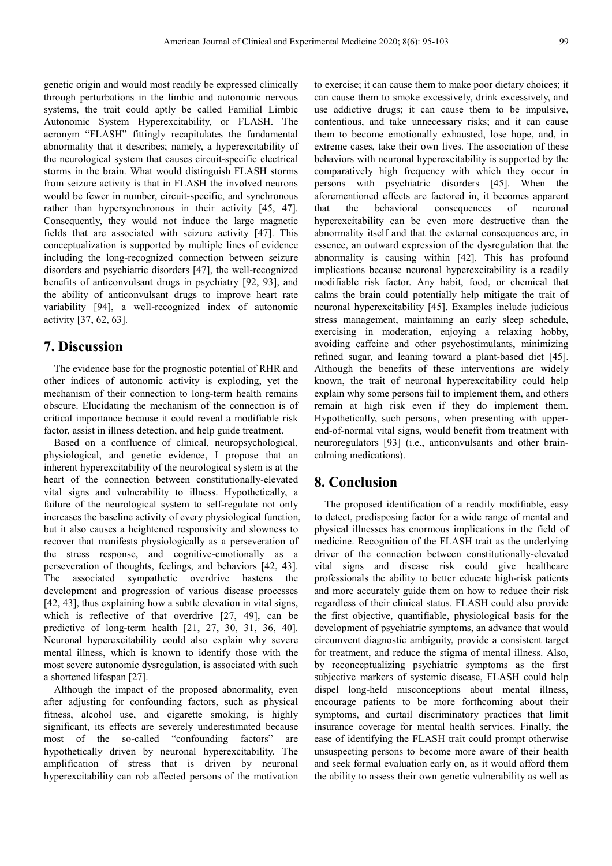genetic origin and would most readily be expressed clinically through perturbations in the limbic and autonomic nervous systems, the trait could aptly be called Familial Limbic Autonomic System Hyperexcitability, or FLASH. The acronym "FLASH" fittingly recapitulates the fundamental abnormality that it describes; namely, a hyperexcitability of the neurological system that causes circuit-specific electrical storms in the brain. What would distinguish FLASH storms from seizure activity is that in FLASH the involved neurons would be fewer in number, circuit-specific, and synchronous rather than hypersynchronous in their activity [45, 47]. Consequently, they would not induce the large magnetic fields that are associated with seizure activity [47]. This conceptualization is supported by multiple lines of evidence including the long-recognized connection between seizure disorders and psychiatric disorders [47], the well-recognized benefits of anticonvulsant drugs in psychiatry [92, 93], and the ability of anticonvulsant drugs to improve heart rate variability [94], a well-recognized index of autonomic activity [37, 62, 63].

# **7. Discussion**

The evidence base for the prognostic potential of RHR and other indices of autonomic activity is exploding, yet the mechanism of their connection to long-term health remains obscure. Elucidating the mechanism of the connection is of critical importance because it could reveal a modifiable risk factor, assist in illness detection, and help guide treatment.

Based on a confluence of clinical, neuropsychological, physiological, and genetic evidence, I propose that an inherent hyperexcitability of the neurological system is at the heart of the connection between constitutionally-elevated vital signs and vulnerability to illness. Hypothetically, a failure of the neurological system to self-regulate not only increases the baseline activity of every physiological function, but it also causes a heightened responsivity and slowness to recover that manifests physiologically as a perseveration of the stress response, and cognitive-emotionally as a perseveration of thoughts, feelings, and behaviors [42, 43]. The associated sympathetic overdrive hastens the development and progression of various disease processes [42, 43], thus explaining how a subtle elevation in vital signs, which is reflective of that overdrive [27, 49], can be predictive of long-term health [21, 27, 30, 31, 36, 40]. Neuronal hyperexcitability could also explain why severe mental illness, which is known to identify those with the most severe autonomic dysregulation, is associated with such a shortened lifespan [27].

Although the impact of the proposed abnormality, even after adjusting for confounding factors, such as physical fitness, alcohol use, and cigarette smoking, is highly significant, its effects are severely underestimated because most of the so-called "confounding factors" are hypothetically driven by neuronal hyperexcitability. The amplification of stress that is driven by neuronal hyperexcitability can rob affected persons of the motivation to exercise; it can cause them to make poor dietary choices; it can cause them to smoke excessively, drink excessively, and use addictive drugs; it can cause them to be impulsive, contentious, and take unnecessary risks; and it can cause them to become emotionally exhausted, lose hope, and, in extreme cases, take their own lives. The association of these behaviors with neuronal hyperexcitability is supported by the comparatively high frequency with which they occur in persons with psychiatric disorders [45]. When the aforementioned effects are factored in, it becomes apparent that the behavioral consequences of neuronal hyperexcitability can be even more destructive than the abnormality itself and that the external consequences are, in essence, an outward expression of the dysregulation that the abnormality is causing within [42]. This has profound implications because neuronal hyperexcitability is a readily modifiable risk factor. Any habit, food, or chemical that calms the brain could potentially help mitigate the trait of neuronal hyperexcitability [45]. Examples include judicious stress management, maintaining an early sleep schedule, exercising in moderation, enjoying a relaxing hobby, avoiding caffeine and other psychostimulants, minimizing refined sugar, and leaning toward a plant-based diet [45]. Although the benefits of these interventions are widely known, the trait of neuronal hyperexcitability could help explain why some persons fail to implement them, and others remain at high risk even if they do implement them. Hypothetically, such persons, when presenting with upperend-of-normal vital signs, would benefit from treatment with neuroregulators [93] (i.e., anticonvulsants and other braincalming medications).

# **8. Conclusion**

The proposed identification of a readily modifiable, easy to detect, predisposing factor for a wide range of mental and physical illnesses has enormous implications in the field of medicine. Recognition of the FLASH trait as the underlying driver of the connection between constitutionally-elevated vital signs and disease risk could give healthcare professionals the ability to better educate high-risk patients and more accurately guide them on how to reduce their risk regardless of their clinical status. FLASH could also provide the first objective, quantifiable, physiological basis for the development of psychiatric symptoms, an advance that would circumvent diagnostic ambiguity, provide a consistent target for treatment, and reduce the stigma of mental illness. Also, by reconceptualizing psychiatric symptoms as the first subjective markers of systemic disease, FLASH could help dispel long-held misconceptions about mental illness, encourage patients to be more forthcoming about their symptoms, and curtail discriminatory practices that limit insurance coverage for mental health services. Finally, the ease of identifying the FLASH trait could prompt otherwise unsuspecting persons to become more aware of their health and seek formal evaluation early on, as it would afford them the ability to assess their own genetic vulnerability as well as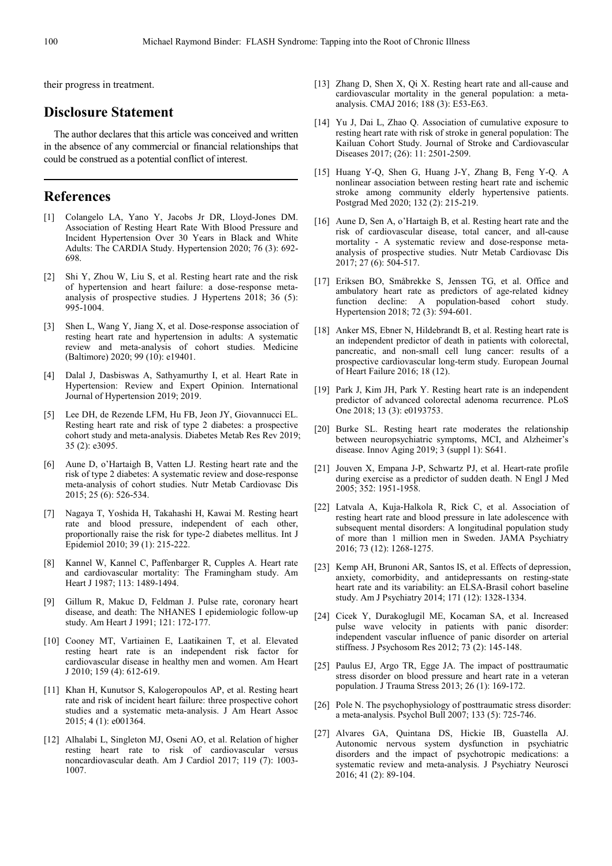their progress in treatment.

# **Disclosure Statement**

The author declares that this article was conceived and written in the absence of any commercial or financial relationships that could be construed as a potential conflict of interest.

# **References**

- [1] Colangelo LA, Yano Y, Jacobs Jr DR, Lloyd-Jones DM. Association of Resting Heart Rate With Blood Pressure and Incident Hypertension Over 30 Years in Black and White Adults: The CARDIA Study. Hypertension 2020; 76 (3): 692- 698.
- [2] Shi Y, Zhou W, Liu S, et al. Resting heart rate and the risk of hypertension and heart failure: a dose-response metaanalysis of prospective studies. J Hypertens 2018; 36 (5): 995-1004.
- [3] Shen L, Wang Y, Jiang X, et al. Dose-response association of resting heart rate and hypertension in adults: A systematic review and meta-analysis of cohort studies. Medicine (Baltimore) 2020; 99 (10): e19401.
- [4] Dalal J, Dasbiswas A, Sathyamurthy I, et al. Heart Rate in Hypertension: Review and Expert Opinion. International Journal of Hypertension 2019; 2019.
- [5] Lee DH, de Rezende LFM, Hu FB, Jeon JY, Giovannucci EL. Resting heart rate and risk of type 2 diabetes: a prospective cohort study and meta-analysis. Diabetes Metab Res Rev 2019; 35 (2): e3095.
- [6] Aune D, o'Hartaigh B, Vatten LJ. Resting heart rate and the risk of type 2 diabetes: A systematic review and dose-response meta-analysis of cohort studies. Nutr Metab Cardiovasc Dis 2015; 25 (6): 526-534.
- [7] Nagaya T, Yoshida H, Takahashi H, Kawai M. Resting heart rate and blood pressure, independent of each other, proportionally raise the risk for type-2 diabetes mellitus. Int J Epidemiol 2010; 39 (1): 215-222.
- [8] Kannel W, Kannel C, Paffenbarger R, Cupples A. Heart rate and cardiovascular mortality: The Framingham study. Am Heart J 1987; 113: 1489-1494.
- [9] Gillum R, Makuc D, Feldman J. Pulse rate, coronary heart disease, and death: The NHANES I epidemiologic follow-up study. Am Heart J 1991; 121: 172-177.
- [10] Cooney MT, Vartiainen E, Laatikainen T, et al. Elevated resting heart rate is an independent risk factor for cardiovascular disease in healthy men and women. Am Heart J 2010; 159 (4): 612-619.
- [11] Khan H, Kunutsor S, Kalogeropoulos AP, et al. Resting heart rate and risk of incident heart failure: three prospective cohort studies and a systematic meta-analysis. J Am Heart Assoc 2015; 4 (1): e001364.
- [12] Alhalabi L, Singleton MJ, Oseni AO, et al. Relation of higher resting heart rate to risk of cardiovascular versus noncardiovascular death. Am J Cardiol 2017; 119 (7): 1003- 1007.
- [13] Zhang D, Shen X, Qi X. Resting heart rate and all-cause and cardiovascular mortality in the general population: a metaanalysis. CMAJ 2016; 188 (3): E53-E63.
- [14] Yu J, Dai L, Zhao Q. Association of cumulative exposure to resting heart rate with risk of stroke in general population: The Kailuan Cohort Study. Journal of Stroke and Cardiovascular Diseases 2017; (26): 11: 2501-2509.
- [15] Huang Y-Q, Shen G, Huang J-Y, Zhang B, Feng Y-Q. A nonlinear association between resting heart rate and ischemic stroke among community elderly hypertensive patients. Postgrad Med 2020; 132 (2): 215-219.
- [16] Aune D, Sen A, o'Hartaigh B, et al. Resting heart rate and the risk of cardiovascular disease, total cancer, and all-cause mortality - A systematic review and dose-response metaanalysis of prospective studies. Nutr Metab Cardiovasc Dis 2017; 27 (6): 504-517.
- [17] Eriksen BO, Småbrekke S, Jenssen TG, et al. Office and ambulatory heart rate as predictors of age-related kidney function decline: A population-based cohort study. Hypertension 2018: 72 (3): 594-601.
- [18] Anker MS, Ebner N, Hildebrandt B, et al. Resting heart rate is an independent predictor of death in patients with colorectal, pancreatic, and non-small cell lung cancer: results of a prospective cardiovascular long-term study. European Journal of Heart Failure 2016; 18 (12).
- [19] Park J, Kim JH, Park Y. Resting heart rate is an independent predictor of advanced colorectal adenoma recurrence. PLoS One 2018; 13 (3): e0193753.
- [20] Burke SL. Resting heart rate moderates the relationship between neuropsychiatric symptoms, MCI, and Alzheimer's disease. Innov Aging 2019; 3 (suppl 1): S641.
- [21] Jouven X, Empana J-P, Schwartz PJ, et al. Heart-rate profile during exercise as a predictor of sudden death. N Engl J Med 2005; 352: 1951-1958.
- [22] Latvala A, Kuja-Halkola R, Rick C, et al. Association of resting heart rate and blood pressure in late adolescence with subsequent mental disorders: A longitudinal population study of more than 1 million men in Sweden. JAMA Psychiatry 2016; 73 (12): 1268-1275.
- [23] Kemp AH, Brunoni AR, Santos IS, et al. Effects of depression, anxiety, comorbidity, and antidepressants on resting-state heart rate and its variability: an ELSA-Brasil cohort baseline study. Am J Psychiatry 2014; 171 (12): 1328-1334.
- [24] Cicek Y, Durakoglugil ME, Kocaman SA, et al. Increased pulse wave velocity in patients with panic disorder: independent vascular influence of panic disorder on arterial stiffness. J Psychosom Res 2012; 73 (2): 145-148.
- [25] Paulus EJ, Argo TR, Egge JA. The impact of posttraumatic stress disorder on blood pressure and heart rate in a veteran population. J Trauma Stress 2013; 26 (1): 169-172.
- [26] Pole N. The psychophysiology of posttraumatic stress disorder: a meta-analysis. Psychol Bull 2007; 133 (5): 725-746.
- [27] Alvares GA, Quintana DS, Hickie IB, Guastella AJ. Autonomic nervous system dysfunction in psychiatric disorders and the impact of psychotropic medications: a systematic review and meta-analysis. J Psychiatry Neurosci 2016; 41 (2): 89-104.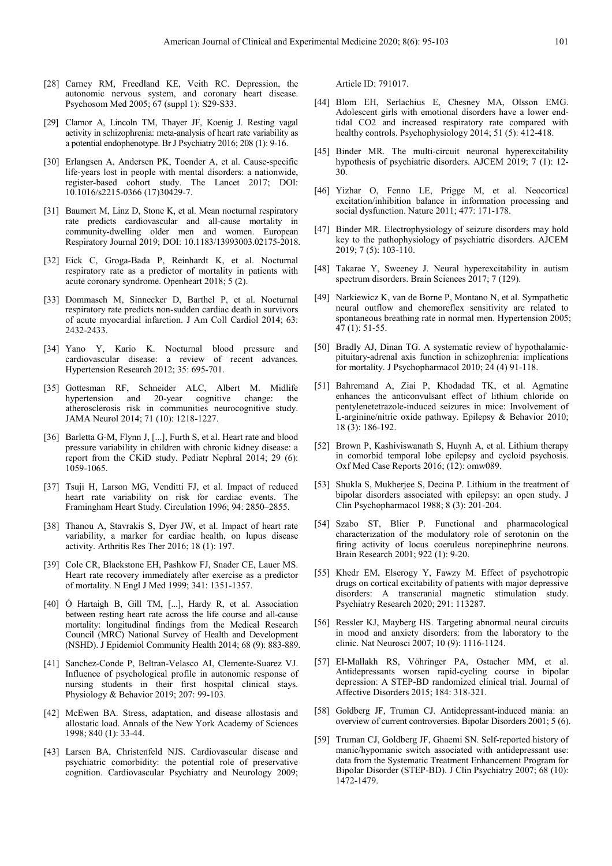- [28] Carney RM, Freedland KE, Veith RC. Depression, the autonomic nervous system, and coronary heart disease. Psychosom Med 2005; 67 (suppl 1): S29-S33.
- [29] Clamor A, Lincoln TM, Thayer JF, Koenig J. Resting vagal activity in schizophrenia: meta-analysis of heart rate variability as a potential endophenotype. Br J Psychiatry 2016; 208 (1): 9-16.
- [30] Erlangsen A, Andersen PK, Toender A, et al. Cause-specific life-years lost in people with mental disorders: a nationwide, register-based cohort study. The Lancet 2017; DOI: 10.1016/s2215-0366 (17)30429-7.
- [31] Baumert M, Linz D, Stone K, et al. Mean nocturnal respiratory rate predicts cardiovascular and all-cause mortality in community-dwelling older men and women. European Respiratory Journal 2019; DOI: 10.1183/13993003.02175-2018.
- [32] Eick C, Groga-Bada P, Reinhardt K, et al. Nocturnal respiratory rate as a predictor of mortality in patients with acute coronary syndrome. Openheart 2018; 5 (2).
- [33] Dommasch M, Sinnecker D, Barthel P, et al. Nocturnal respiratory rate predicts non-sudden cardiac death in survivors of acute myocardial infarction. J Am Coll Cardiol 2014; 63: 2432-2433.
- [34] Yano Y, Kario K. Nocturnal blood pressure and cardiovascular disease: a review of recent advances. Hypertension Research 2012; 35: 695-701.
- [35] Gottesman RF, Schneider ALC, Albert M. Midlife hypertension and 20-year cognitive change: the atherosclerosis risk in communities neurocognitive study. JAMA Neurol 2014; 71 (10): 1218-1227.
- [36] Barletta G-M, Flynn J, [...], Furth S, et al. Heart rate and blood pressure variability in children with chronic kidney disease: a report from the CKiD study. Pediatr Nephral 2014; 29 (6): 1059-1065.
- [37] Tsuji H, Larson MG, Venditti FJ, et al. Impact of reduced heart rate variability on risk for cardiac events. The Framingham Heart Study. Circulation 1996; 94: 2850–2855.
- [38] Thanou A, Stavrakis S, Dyer JW, et al. Impact of heart rate variability, a marker for cardiac health, on lupus disease activity. Arthritis Res Ther 2016; 18 (1): 197.
- [39] Cole CR, Blackstone EH, Pashkow FJ, Snader CE, Lauer MS. Heart rate recovery immediately after exercise as a predictor of mortality. N Engl J Med 1999; 341: 1351-1357.
- [40] Ó Hartaigh B, Gill TM, [...], Hardy R, et al. Association between resting heart rate across the life course and all-cause mortality: longitudinal findings from the Medical Research Council (MRC) National Survey of Health and Development (NSHD). J Epidemiol Community Health 2014; 68 (9): 883-889.
- [41] Sanchez-Conde P, Beltran-Velasco AI, Clemente-Suarez VJ. Influence of psychological profile in autonomic response of nursing students in their first hospital clinical stays. Physiology & Behavior 2019; 207: 99-103.
- [42] McEwen BA. Stress, adaptation, and disease allostasis and allostatic load. Annals of the New York Academy of Sciences 1998; 840 (1): 33-44.
- [43] Larsen BA, Christenfeld NJS. Cardiovascular disease and psychiatric comorbidity: the potential role of preservative cognition. Cardiovascular Psychiatry and Neurology 2009;

Article ID: 791017.

- [44] Blom EH, Serlachius E, Chesney MA, Olsson EMG. Adolescent girls with emotional disorders have a lower endtidal CO2 and increased respiratory rate compared with healthy controls. Psychophysiology 2014: 51 (5): 412-418.
- [45] Binder MR. The multi-circuit neuronal hyperexcitability hypothesis of psychiatric disorders. AJCEM 2019; 7 (1): 12- 30.
- [46] Yizhar O, Fenno LE, Prigge M, et al. Neocortical excitation/inhibition balance in information processing and social dysfunction. Nature 2011; 477: 171-178.
- [47] Binder MR. Electrophysiology of seizure disorders may hold key to the pathophysiology of psychiatric disorders. AJCEM 2019; 7 (5): 103-110.
- [48] Takarae Y. Sweeney J. Neural hyperexcitability in autism spectrum disorders. Brain Sciences 2017; 7 (129).
- [49] Narkiewicz K, van de Borne P, Montano N, et al. Sympathetic neural outflow and chemoreflex sensitivity are related to spontaneous breathing rate in normal men. Hypertension 2005; 47 (1): 51-55.
- [50] Bradly AJ, Dinan TG. A systematic review of hypothalamicpituitary-adrenal axis function in schizophrenia: implications for mortality. J Psychopharmacol 2010;  $24(4)$  91-118.
- [51] Bahremand A, Ziai P, Khodadad TK, et al. Agmatine enhances the anticonvulsant effect of lithium chloride on pentylenetetrazole-induced seizures in mice: Involvement of L-arginine/nitric oxide pathway. Epilepsy & Behavior 2010; 18 (3): 186-192.
- [52] Brown P, Kashiviswanath S, Huynh A, et al. Lithium therapy in comorbid temporal lobe epilepsy and cycloid psychosis. Oxf Med Case Reports 2016; (12): omw089.
- [53] Shukla S, Mukherjee S, Decina P. Lithium in the treatment of bipolar disorders associated with epilepsy: an open study. J Clin Psychopharmacol 1988; 8 (3): 201-204.
- [54] Szabo ST, Blier P. Functional and pharmacological characterization of the modulatory role of serotonin on the firing activity of locus coeruleus norepinephrine neurons. Brain Research 2001; 922 (1): 9-20.
- [55] Khedr EM, Elserogy Y, Fawzy M. Effect of psychotropic drugs on cortical excitability of patients with major depressive disorders: A transcranial magnetic stimulation study. Psychiatry Research 2020; 291: 113287.
- [56] Ressler KJ, Mayberg HS. Targeting abnormal neural circuits in mood and anxiety disorders: from the laboratory to the clinic. Nat Neurosci 2007; 10 (9): 1116-1124.
- [57] El-Mallakh RS, Vöhringer PA, Ostacher MM, et al. Antidepressants worsen rapid-cycling course in bipolar depression: A STEP-BD randomized clinical trial. Journal of Affective Disorders 2015; 184: 318-321.
- [58] Goldberg JF, Truman CJ. Antidepressant-induced mania: an overview of current controversies. Bipolar Disorders 2001; 5 (6).
- [59] Truman CJ, Goldberg JF, Ghaemi SN. Self-reported history of manic/hypomanic switch associated with antidepressant use: data from the Systematic Treatment Enhancement Program for Bipolar Disorder (STEP-BD). J Clin Psychiatry 2007; 68 (10): 1472-1479.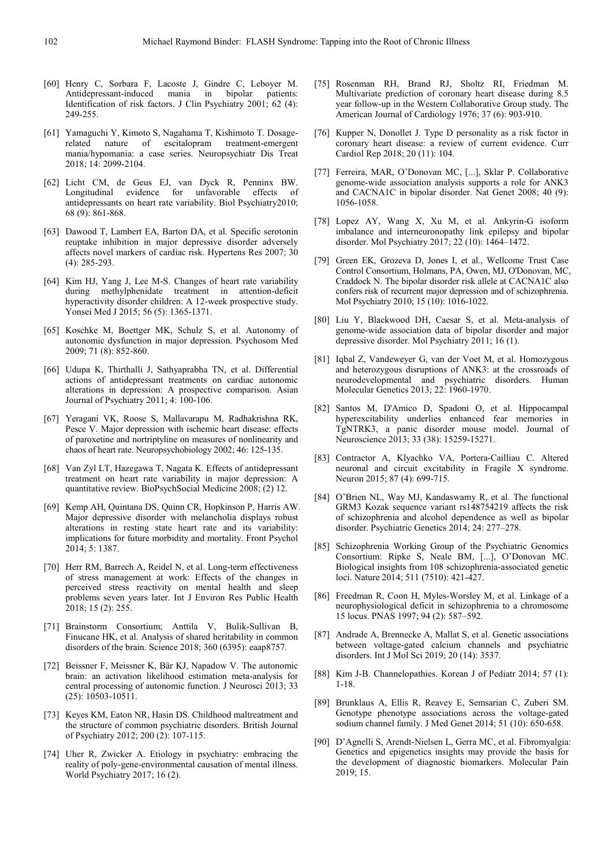- [60] Henry C, Sorbara F, Lacoste J, Gindre C, Leboyer M. Antidepressant-induced mania in bipolar Identification of risk factors. J Clin Psychiatry 2001; 62 (4): 249-255.
- [61] Yamaguchi Y, Kimoto S, Nagahama T, Kishimoto T. Dosagerelated nature of escitalopram treatment-emergent mania/hypomania: a case series. Neuropsychiatr Dis Treat 2018; 14: 2099-2104.
- [62] Licht CM, de Geus EJ, van Dyck R, Penninx BW. Longitudinal evidence for unfavorable effects of antidepressants on heart rate variability. Biol Psychiatry2010; 68 (9): 861-868.
- [63] Dawood T, Lambert EA, Barton DA, et al. Specific serotonin reuptake inhibition in major depressive disorder adversely affects novel markers of cardiac risk. Hypertens Res 2007; 30 (4): 285-293.
- [64] Kim HJ, Yang J, Lee M-S. Changes of heart rate variability during methylphenidate treatment in attention-deficit hyperactivity disorder children: A 12-week prospective study. Yonsei Med J 2015; 56 (5): 1365-1371.
- [65] Koschke M, Boettger MK, Schulz S, et al. Autonomy of autonomic dysfunction in major depression. Psychosom Med 2009; 71 (8): 852-860.
- [66] Udupa K, Thirthalli J, Sathyaprabha TN, et al. Differential actions of antidepressant treatments on cardiac autonomic alterations in depression: A prospective comparison. Asian Journal of Psychiatry 2011; 4: 100-106.
- [67] Yeragani VK, Roose S, Mallavarapu M, Radhakrishna RK, Pesce V. Major depression with ischemic heart disease: effects of paroxetine and nortriptyline on measures of nonlinearity and chaos of heart rate. Neuropsychobiology 2002; 46: 125-135.
- [68] Van Zyl LT, Hazegawa T, Nagata K. Effects of antidepressant treatment on heart rate variability in major depression: A quantitative review. BioPsychSocial Medicine 2008; (2) 12.
- [69] Kemp AH, Quintana DS, Quinn CR, Hopkinson P, Harris AW. Major depressive disorder with melancholia displays robust alterations in resting state heart rate and its variability: implications for future morbidity and mortality. Front Psychol 2014; 5: 1387.
- [70] Herr RM, Barrech A, Reidel N, et al. Long-term effectiveness of stress management at work: Effects of the changes in perceived stress reactivity on mental health and sleep problems seven years later. Int J Environ Res Public Health 2018; 15 (2): 255.
- [71] Brainstorm Consortium; Anttila V, Bulik-Sullivan B, Finucane HK, et al. Analysis of shared heritability in common disorders of the brain. Science 2018; 360 (6395): eaap8757.
- [72] Beissner F, Meissner K, Bär KJ, Napadow V. The autonomic brain: an activation likelihood estimation meta-analysis for central processing of autonomic function. J Neurosci 2013; 33 (25): 10503-10511.
- [73] Keyes KM, Eaton NR, Hasin DS. Childhood maltreatment and the structure of common psychiatric disorders. British Journal of Psychiatry 2012; 200 (2): 107-115.
- [74] Uher R, Zwicker A. Etiology in psychiatry: embracing the reality of poly-gene-environmental causation of mental illness. World Psychiatry 2017; 16 (2).
- [75] Rosenman RH, Brand RJ, Sholtz RI, Friedman M. Multivariate prediction of coronary heart disease during 8.5 year follow-up in the Western Collaborative Group study. The American Journal of Cardiology 1976; 37 (6): 903-910.
- [76] Kupper N, Donollet J. Type D personality as a risk factor in coronary heart disease: a review of current evidence. Curr Cardiol Rep 2018; 20 (11): 104.
- [77] Ferreira, MAR, O'Donovan MC, [...], Sklar P. Collaborative genome-wide association analysis supports a role for ANK3 and CACNA1C in bipolar disorder. Nat Genet 2008; 40 (9): 1056-1058.
- [78] Lopez AY, Wang X, Xu M, et al. Ankyrin-G isoform imbalance and interneuronopathy link epilepsy and bipolar disorder. Mol Psychiatry 2017; 22 (10): 1464–1472.
- [79] Green EK, Grozeva D, Jones I, et al., Wellcome Trust Case Control Consortium, Holmans, PA, Owen, MJ, O'Donovan, MC, Craddock N. The bipolar disorder risk allele at CACNA1C also confers risk of recurrent major depression and of schizophrenia. Mol Psychiatry 2010; 15 (10): 1016-1022.
- [80] Liu Y, Blackwood DH, Caesar S, et al. Meta-analysis of genome-wide association data of bipolar disorder and major depressive disorder. Mol Psychiatry 2011; 16 (1).
- [81] Iqbal Z, Vandeweyer G, van der Voet M, et al. Homozygous and heterozygous disruptions of ANK3: at the crossroads of neurodevelopmental and psychiatric disorders. Human Molecular Genetics 2013; 22: 1960-1970.
- [82] Santos M, D'Amico D, Spadoni O, et al. Hippocampal hyperexcitability underlies enhanced fear memories in TgNTRK3, a panic disorder mouse model. Journal of Neuroscience 2013; 33 (38): 15259-15271.
- [83] Contractor A, Klyachko VA, Portera-Cailliau C. Altered neuronal and circuit excitability in Fragile X syndrome. Neuron 2015; 87 (4): 699-715.
- [84] O'Brien NL, Way MJ, Kandaswamy R, et al. The functional GRM3 Kozak sequence variant rs148754219 affects the risk of schizophrenia and alcohol dependence as well as bipolar disorder. Psychiatric Genetics 2014; 24: 277–278.
- [85] Schizophrenia Working Group of the Psychiatric Genomics Consortium: Ripke S, Neale BM, [...], O'Donovan MC. Biological insights from 108 schizophrenia-associated genetic loci. Nature 2014; 511 (7510): 421-427.
- [86] Freedman R, Coon H, Myles-Worsley M, et al. Linkage of a neurophysiological deficit in schizophrenia to a chromosome 15 locus. PNAS 1997; 94 (2): 587–592.
- [87] Andrade A, Brennecke A, Mallat S, et al. Genetic associations between voltage-gated calcium channels and psychiatric disorders. Int J Mol Sci 2019; 20 (14): 3537.
- [88] Kim J-B. Channelopathies. Korean J of Pediatr 2014; 57 (1): 1-18.
- [89] Brunklaus A, Ellis R, Reavey E, Semsarian C, Zuberi SM. Genotype phenotype associations across the voltage-gated sodium channel family. J Med Genet 2014; 51 (10): 650-658.
- [90] D'Agnelli S, Arendt-Nielsen L, Gerra MC, et al. Fibromyalgia: Genetics and epigenetics insights may provide the basis for the development of diagnostic biomarkers. Molecular Pain 2019; 15.